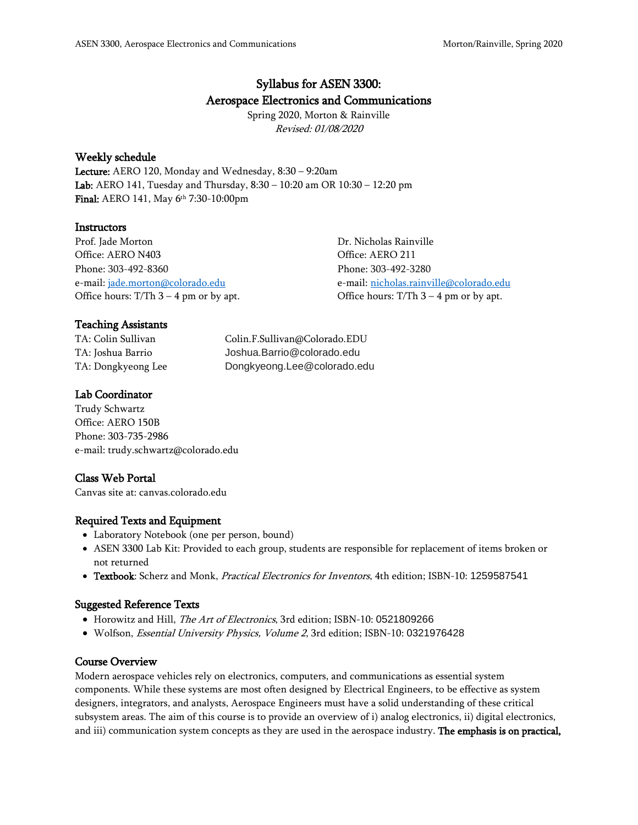# Syllabus for ASEN 3300: Aerospace Electronics and Communications

Spring 2020, Morton & Rainville Revised: 01/08/2020

### Weekly schedule

Lecture: AERO 120, Monday and Wednesday, 8:30 – 9:20am Lab: AERO 141, Tuesday and Thursday, 8:30 – 10:20 am OR 10:30 – 12:20 pm Final: AERO 141, May 6<sup>th</sup> 7:30-10:00pm

### **Instructors**

| Prof. Jade Morton                        | Dr. Nicholas Rainville                   |
|------------------------------------------|------------------------------------------|
| Office: AERO N403                        | Office: AERO 211                         |
| Phone: 303-492-8360                      | Phone: 303-492-3280                      |
| e-mail: jade.morton@colorado.edu         | e-mail: nicholas.rainville@colorado.edu  |
| Office hours: $T/Th$ 3 – 4 pm or by apt. | Office hours: $T/Th$ 3 – 4 pm or by apt. |
|                                          |                                          |

### Teaching Assistants

| TA: Colin Sullivan | Colin.F.Sullivan@Colorado.EDU |
|--------------------|-------------------------------|
| TA: Joshua Barrio  | Joshua.Barrio@colorado.edu    |
| TA: Dongkyeong Lee | Dongkyeong.Lee@colorado.edu   |

### Lab Coordinator

Trudy Schwartz Office: AERO 150B Phone: 303-735-2986 e-mail: trudy.schwartz@colorado.edu

### Class Web Portal

Canvas site at: canvas.colorado.edu

### Required Texts and Equipment

- Laboratory Notebook (one per person, bound)
- ASEN 3300 Lab Kit: Provided to each group, students are responsible for replacement of items broken or not returned
- Textbook: Scherz and Monk, Practical Electronics for Inventors, 4th edition; ISBN-10: 1259587541

### Suggested Reference Texts

- Horowitz and Hill, The Art of Electronics, 3rd edition; ISBN-10: 0521809266
- Wolfson, Essential University Physics, Volume 2, 3rd edition; ISBN-10: 0321976428

### Course Overview

Modern aerospace vehicles rely on electronics, computers, and communications as essential system components. While these systems are most often designed by Electrical Engineers, to be effective as system designers, integrators, and analysts, Aerospace Engineers must have a solid understanding of these critical subsystem areas. The aim of this course is to provide an overview of i) analog electronics, ii) digital electronics, and iii) communication system concepts as they are used in the aerospace industry. The emphasis is on practical,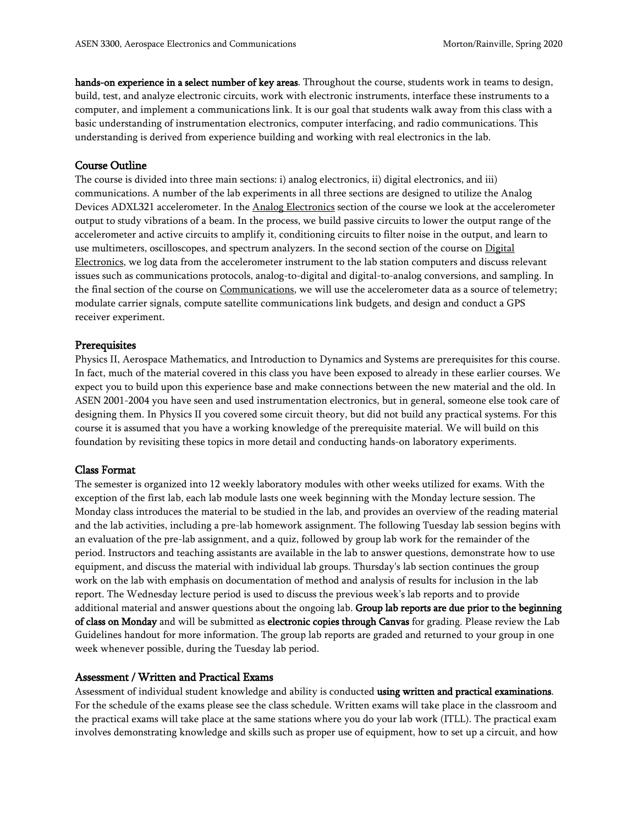hands-on experience in a select number of key areas. Throughout the course, students work in teams to design, build, test, and analyze electronic circuits, work with electronic instruments, interface these instruments to a computer, and implement a communications link. It is our goal that students walk away from this class with a basic understanding of instrumentation electronics, computer interfacing, and radio communications. This understanding is derived from experience building and working with real electronics in the lab.

### Course Outline

The course is divided into three main sections: i) analog electronics, ii) digital electronics, and iii) communications. A number of the lab experiments in all three sections are designed to utilize the Analog Devices ADXL321 accelerometer. In the Analog Electronics section of the course we look at the accelerometer output to study vibrations of a beam. In the process, we build passive circuits to lower the output range of the accelerometer and active circuits to amplify it, conditioning circuits to filter noise in the output, and learn to use multimeters, oscilloscopes, and spectrum analyzers. In the second section of the course on Digital Electronics, we log data from the accelerometer instrument to the lab station computers and discuss relevant issues such as communications protocols, analog-to-digital and digital-to-analog conversions, and sampling. In the final section of the course on Communications, we will use the accelerometer data as a source of telemetry; modulate carrier signals, compute satellite communications link budgets, and design and conduct a GPS receiver experiment.

#### **Prerequisites**

Physics II, Aerospace Mathematics, and Introduction to Dynamics and Systems are prerequisites for this course. In fact, much of the material covered in this class you have been exposed to already in these earlier courses. We expect you to build upon this experience base and make connections between the new material and the old. In ASEN 2001-2004 you have seen and used instrumentation electronics, but in general, someone else took care of designing them. In Physics II you covered some circuit theory, but did not build any practical systems. For this course it is assumed that you have a working knowledge of the prerequisite material. We will build on this foundation by revisiting these topics in more detail and conducting hands-on laboratory experiments.

### Class Format

The semester is organized into 12 weekly laboratory modules with other weeks utilized for exams. With the exception of the first lab, each lab module lasts one week beginning with the Monday lecture session. The Monday class introduces the material to be studied in the lab, and provides an overview of the reading material and the lab activities, including a pre-lab homework assignment. The following Tuesday lab session begins with an evaluation of the pre-lab assignment, and a quiz, followed by group lab work for the remainder of the period. Instructors and teaching assistants are available in the lab to answer questions, demonstrate how to use equipment, and discuss the material with individual lab groups. Thursday's lab section continues the group work on the lab with emphasis on documentation of method and analysis of results for inclusion in the lab report. The Wednesday lecture period is used to discuss the previous week's lab reports and to provide additional material and answer questions about the ongoing lab. Group lab reports are due prior to the beginning of class on Monday and will be submitted as electronic copies through Canvas for grading. Please review the Lab Guidelines handout for more information. The group lab reports are graded and returned to your group in one week whenever possible, during the Tuesday lab period.

### Assessment / Written and Practical Exams

Assessment of individual student knowledge and ability is conducted using written and practical examinations. For the schedule of the exams please see the class schedule. Written exams will take place in the classroom and the practical exams will take place at the same stations where you do your lab work (ITLL). The practical exam involves demonstrating knowledge and skills such as proper use of equipment, how to set up a circuit, and how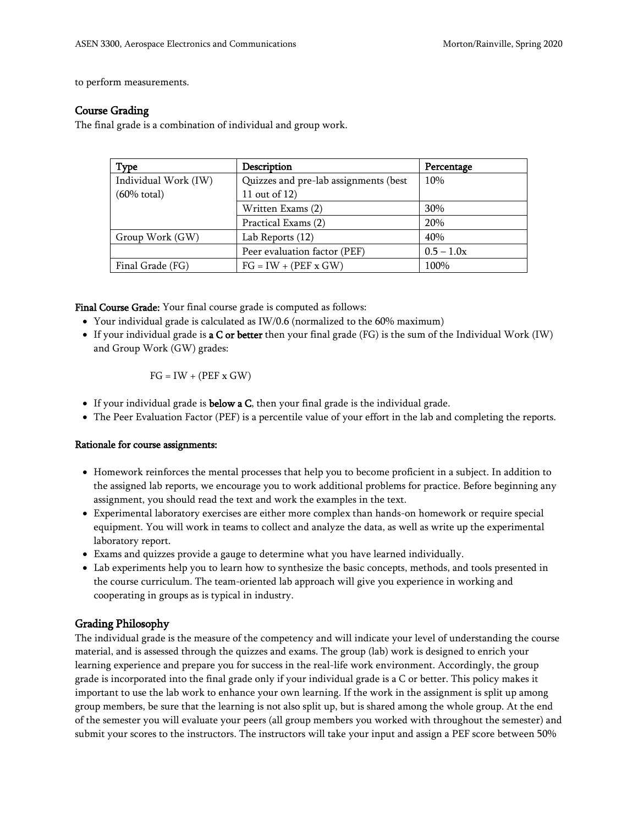to perform measurements.

### Course Grading

The final grade is a combination of individual and group work.

| <b>Type</b>            | Description                           | Percentage   |
|------------------------|---------------------------------------|--------------|
| Individual Work (IW)   | Quizzes and pre-lab assignments (best | 10%          |
| $(60\% \text{ total})$ | 11 out of 12)                         |              |
|                        | Written Exams (2)                     | 30%          |
|                        | Practical Exams (2)                   | 20%          |
| Group Work (GW)        | Lab Reports (12)                      | 40%          |
|                        | Peer evaluation factor (PEF)          | $0.5 - 1.0x$ |
| Final Grade (FG)       | $FG = IW + (PEF x GW)$                | 100%         |

Final Course Grade: Your final course grade is computed as follows:

- Your individual grade is calculated as IW/0.6 (normalized to the 60% maximum)
- If your individual grade is a C or better then your final grade (FG) is the sum of the Individual Work (IW) and Group Work (GW) grades:

 $FG = IW + (PEF x GW)$ 

- If your individual grade is **below a C**, then your final grade is the individual grade.
- The Peer Evaluation Factor (PEF) is a percentile value of your effort in the lab and completing the reports.

### Rationale for course assignments:

- Homework reinforces the mental processes that help you to become proficient in a subject. In addition to the assigned lab reports, we encourage you to work additional problems for practice. Before beginning any assignment, you should read the text and work the examples in the text.
- Experimental laboratory exercises are either more complex than hands-on homework or require special equipment. You will work in teams to collect and analyze the data, as well as write up the experimental laboratory report.
- Exams and quizzes provide a gauge to determine what you have learned individually.
- Lab experiments help you to learn how to synthesize the basic concepts, methods, and tools presented in the course curriculum. The team-oriented lab approach will give you experience in working and cooperating in groups as is typical in industry.

### Grading Philosophy

The individual grade is the measure of the competency and will indicate your level of understanding the course material, and is assessed through the quizzes and exams. The group (lab) work is designed to enrich your learning experience and prepare you for success in the real-life work environment. Accordingly, the group grade is incorporated into the final grade only if your individual grade is a C or better. This policy makes it important to use the lab work to enhance your own learning. If the work in the assignment is split up among group members, be sure that the learning is not also split up, but is shared among the whole group. At the end of the semester you will evaluate your peers (all group members you worked with throughout the semester) and submit your scores to the instructors. The instructors will take your input and assign a PEF score between 50%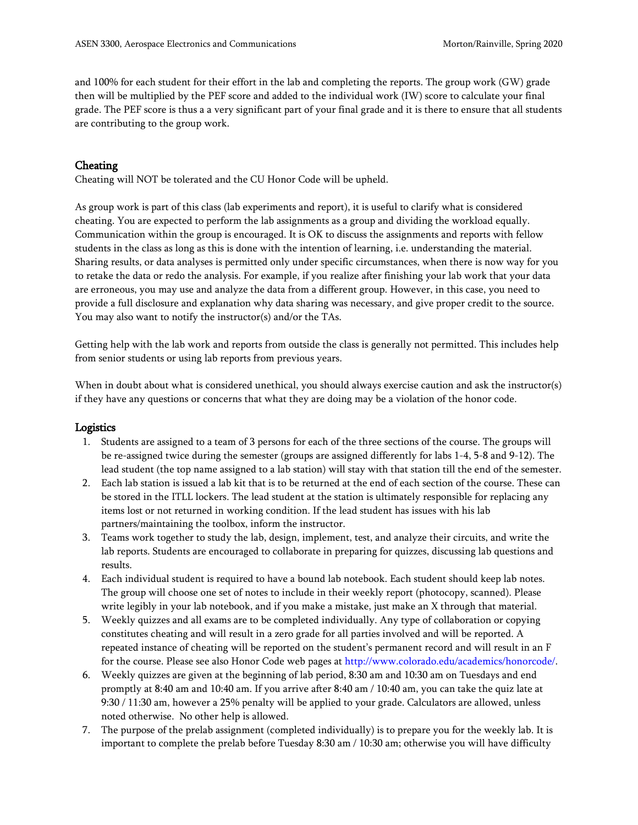and 100% for each student for their effort in the lab and completing the reports. The group work (GW) grade then will be multiplied by the PEF score and added to the individual work (IW) score to calculate your final grade. The PEF score is thus a a very significant part of your final grade and it is there to ensure that all students are contributing to the group work.

## **Cheating**

Cheating will NOT be tolerated and the CU Honor Code will be upheld.

As group work is part of this class (lab experiments and report), it is useful to clarify what is considered cheating. You are expected to perform the lab assignments as a group and dividing the workload equally. Communication within the group is encouraged. It is OK to discuss the assignments and reports with fellow students in the class as long as this is done with the intention of learning, i.e. understanding the material. Sharing results, or data analyses is permitted only under specific circumstances, when there is now way for you to retake the data or redo the analysis. For example, if you realize after finishing your lab work that your data are erroneous, you may use and analyze the data from a different group. However, in this case, you need to provide a full disclosure and explanation why data sharing was necessary, and give proper credit to the source. You may also want to notify the instructor(s) and/or the TAs.

Getting help with the lab work and reports from outside the class is generally not permitted. This includes help from senior students or using lab reports from previous years.

When in doubt about what is considered unethical, you should always exercise caution and ask the instructor(s) if they have any questions or concerns that what they are doing may be a violation of the honor code.

### **Logistics**

- 1. Students are assigned to a team of 3 persons for each of the three sections of the course. The groups will be re-assigned twice during the semester (groups are assigned differently for labs 1-4, 5-8 and 9-12). The lead student (the top name assigned to a lab station) will stay with that station till the end of the semester.
- 2. Each lab station is issued a lab kit that is to be returned at the end of each section of the course. These can be stored in the ITLL lockers. The lead student at the station is ultimately responsible for replacing any items lost or not returned in working condition. If the lead student has issues with his lab partners/maintaining the toolbox, inform the instructor.
- 3. Teams work together to study the lab, design, implement, test, and analyze their circuits, and write the lab reports. Students are encouraged to collaborate in preparing for quizzes, discussing lab questions and results.
- 4. Each individual student is required to have a bound lab notebook. Each student should keep lab notes. The group will choose one set of notes to include in their weekly report (photocopy, scanned). Please write legibly in your lab notebook, and if you make a mistake, just make an X through that material.
- 5. Weekly quizzes and all exams are to be completed individually. Any type of collaboration or copying constitutes cheating and will result in a zero grade for all parties involved and will be reported. A repeated instance of cheating will be reported on the student's permanent record and will result in an F for the course. Please see also Honor Code web pages at http://www.colorado.edu/academics/honorcode/.
- 6. Weekly quizzes are given at the beginning of lab period, 8:30 am and 10:30 am on Tuesdays and end promptly at 8:40 am and 10:40 am. If you arrive after 8:40 am / 10:40 am, you can take the quiz late at 9:30 / 11:30 am, however a 25% penalty will be applied to your grade. Calculators are allowed, unless noted otherwise. No other help is allowed.
- 7. The purpose of the prelab assignment (completed individually) is to prepare you for the weekly lab. It is important to complete the prelab before Tuesday 8:30 am / 10:30 am; otherwise you will have difficulty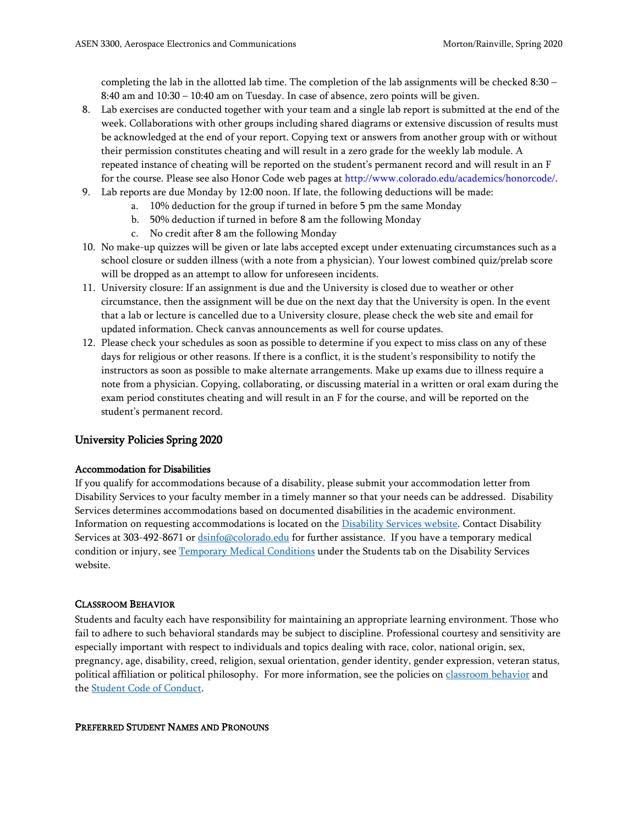completing the lab in the allotted lab time. The completion of the lab assignments will be checked 8:30 – 8:40 am and 10:30 – 10:40 am on Tuesday. In case of absence, zero points will be given.

- 8. Lab exercises are conducted together with your team and a single lab report is submitted at the end of the week. Collaborations with other groups including shared diagrams or extensive discussion of results must be acknowledged at the end of your report. Copying text or answers from another group with or without their permission constitutes cheating and will result in a zero grade for the weekly lab module. A repeated instance of cheating will be reported on the student's permanent record and will result in an F for the course. Please see also Honor Code web pages at http://www.colorado.edu/academics/honorcode/.
- 9. Lab reports are due Monday by 12:00 noon. If late, the following deductions will be made:
	- a. 10% deduction for the group if turned in before 5 pm the same Monday
	- b. 50% deduction if turned in before 8 am the following Monday
	- c. No credit after 8 am the following Monday
- 10. No make-up quizzes will be given or late labs accepted except under extenuating circumstances such as a school closure or sudden illness (with a note from a physician). Your lowest combined quiz/prelab score will be dropped as an attempt to allow for unforeseen incidents.
- 11. University closure: If an assignment is due and the University is closed due to weather or other circumstance, then the assignment will be due on the next day that the University is open. In the event that a lab or lecture is cancelled due to a University closure, please check the web site and email for updated information. Check canvas announcements as well for course updates.
- 12. Please check your schedules as soon as possible to determine if you expect to miss class on any of these days for religious or other reasons. If there is a conflict, it is the student's responsibility to notify the instructors as soon as possible to make alternate arrangements. Make up exams due to illness require a note from a physician. Copying, collaborating, or discussing material in a written or oral exam during the exam period constitutes cheating and will result in an F for the course, and will be reported on the student's permanent record.

### University Policies Spring 2020

### Accommodation for Disabilities

If you qualify for accommodations because of a disability, please submit your accommodation letter from Disability Services to your faculty member in a timely manner so that your needs can be addressed. Disability Services determines accommodations based on documented disabilities in the academic environment. Information on requesting accommodations is located on the [Disability Services website.](http://www.colorado.edu/disabilityservices/students) Contact Disability Services at 303-492-8671 or [dsinfo@colorado.edu](mailto:dsinfo@colorado.edu) for further assistance. If you have a temporary medical condition or injury, see [Temporary Medical Conditions](http://www.colorado.edu/disabilityservices/students/temporary-medical-conditions) under the Students tab on the Disability Services website.

### CLASSROOM BEHAVIOR

Students and faculty each have responsibility for maintaining an appropriate learning environment. Those who fail to adhere to such behavioral standards may be subject to discipline. Professional courtesy and sensitivity are especially important with respect to individuals and topics dealing with race, color, national origin, sex, pregnancy, age, disability, creed, religion, sexual orientation, gender identity, gender expression, veteran status, political affiliation or political philosophy. For more information, see the policies on [classroom behavior](http://www.colorado.edu/policies/student-classroom-and-course-related-behavior) and the [Student Code of Conduct.](http://www.colorado.edu/osccr/)

### PREFERRED STUDENT NAMES AND PRONOUNS